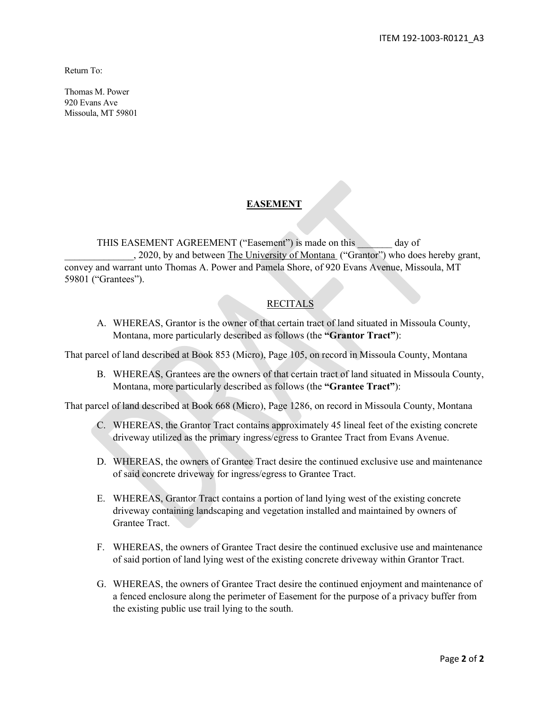Return To:

Thomas M. Power 920 Evans Ave Missoula, MT 59801

## **EASEMENT**

THIS EASEMENT AGREEMENT ("Easement") is made on this day of \_\_\_\_\_\_\_\_\_\_\_\_\_\_, 2020, by and between The University of Montana ("Grantor") who does hereby grant, convey and warrant unto Thomas A. Power and Pamela Shore, of 920 Evans Avenue, Missoula, MT 59801 ("Grantees").

## RECITALS

A. WHEREAS, Grantor is the owner of that certain tract of land situated in Missoula County, Montana, more particularly described as follows (the **"Grantor Tract"**):

That parcel of land described at Book 853 (Micro), Page 105, on record in Missoula County, Montana

B. WHEREAS, Grantees are the owners of that certain tract of land situated in Missoula County, Montana, more particularly described as follows (the **"Grantee Tract"**):

That parcel of land described at Book 668 (Micro), Page 1286, on record in Missoula County, Montana

- C. WHEREAS, the Grantor Tract contains approximately 45 lineal feet of the existing concrete driveway utilized as the primary ingress/egress to Grantee Tract from Evans Avenue.
- D. WHEREAS, the owners of Grantee Tract desire the continued exclusive use and maintenance of said concrete driveway for ingress/egress to Grantee Tract.
- E. WHEREAS, Grantor Tract contains a portion of land lying west of the existing concrete driveway containing landscaping and vegetation installed and maintained by owners of Grantee Tract.
- F. WHEREAS, the owners of Grantee Tract desire the continued exclusive use and maintenance of said portion of land lying west of the existing concrete driveway within Grantor Tract.
- G. WHEREAS, the owners of Grantee Tract desire the continued enjoyment and maintenance of a fenced enclosure along the perimeter of Easement for the purpose of a privacy buffer from the existing public use trail lying to the south.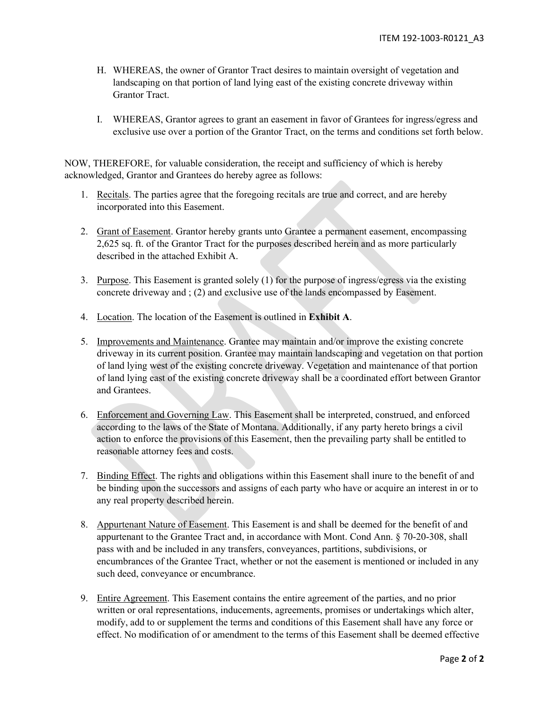- H. WHEREAS, the owner of Grantor Tract desires to maintain oversight of vegetation and landscaping on that portion of land lying east of the existing concrete driveway within Grantor Tract.
- I. WHEREAS, Grantor agrees to grant an easement in favor of Grantees for ingress/egress and exclusive use over a portion of the Grantor Tract, on the terms and conditions set forth below.

NOW, THEREFORE, for valuable consideration, the receipt and sufficiency of which is hereby acknowledged, Grantor and Grantees do hereby agree as follows:

- 1. Recitals. The parties agree that the foregoing recitals are true and correct, and are hereby incorporated into this Easement.
- 2. Grant of Easement. Grantor hereby grants unto Grantee a permanent easement, encompassing 2,625 sq. ft. of the Grantor Tract for the purposes described herein and as more particularly described in the attached Exhibit A.
- 3. Purpose. This Easement is granted solely (1) for the purpose of ingress/egress via the existing concrete driveway and ; (2) and exclusive use of the lands encompassed by Easement.
- 4. Location. The location of the Easement is outlined in **Exhibit A**.
- 5. Improvements and Maintenance. Grantee may maintain and/or improve the existing concrete driveway in its current position. Grantee may maintain landscaping and vegetation on that portion of land lying west of the existing concrete driveway. Vegetation and maintenance of that portion of land lying east of the existing concrete driveway shall be a coordinated effort between Grantor and Grantees.
- 6. Enforcement and Governing Law. This Easement shall be interpreted, construed, and enforced according to the laws of the State of Montana. Additionally, if any party hereto brings a civil action to enforce the provisions of this Easement, then the prevailing party shall be entitled to reasonable attorney fees and costs.
- 7. Binding Effect. The rights and obligations within this Easement shall inure to the benefit of and be binding upon the successors and assigns of each party who have or acquire an interest in or to any real property described herein.
- 8. Appurtenant Nature of Easement. This Easement is and shall be deemed for the benefit of and appurtenant to the Grantee Tract and, in accordance with Mont. Cond Ann. § 70-20-308, shall pass with and be included in any transfers, conveyances, partitions, subdivisions, or encumbrances of the Grantee Tract, whether or not the easement is mentioned or included in any such deed, conveyance or encumbrance.
- 9. Entire Agreement. This Easement contains the entire agreement of the parties, and no prior written or oral representations, inducements, agreements, promises or undertakings which alter, modify, add to or supplement the terms and conditions of this Easement shall have any force or effect. No modification of or amendment to the terms of this Easement shall be deemed effective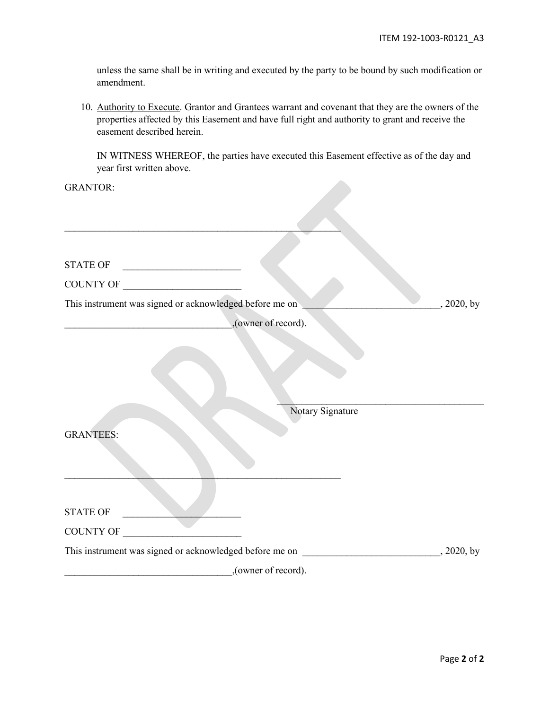unless the same shall be in writing and executed by the party to be bound by such modification or amendment.

10. Authority to Execute. Grantor and Grantees warrant and covenant that they are the owners of the properties affected by this Easement and have full right and authority to grant and receive the easement described herein.

IN WITNESS WHEREOF, the parties have executed this Easement effective as of the day and year first written above.

GRANTOR:

| STATE OF                                                              |  |
|-----------------------------------------------------------------------|--|
| COUNTY OF                                                             |  |
| This instrument was signed or acknowledged before me on<br>, 2020, by |  |
| ,(owner of record).                                                   |  |
|                                                                       |  |
|                                                                       |  |
|                                                                       |  |
|                                                                       |  |
| Notary Signature                                                      |  |
| <b>GRANTEES:</b>                                                      |  |
|                                                                       |  |
|                                                                       |  |
|                                                                       |  |
| <b>STATE OF</b>                                                       |  |
| COUNTY OF                                                             |  |
|                                                                       |  |
| , (owner of record).                                                  |  |